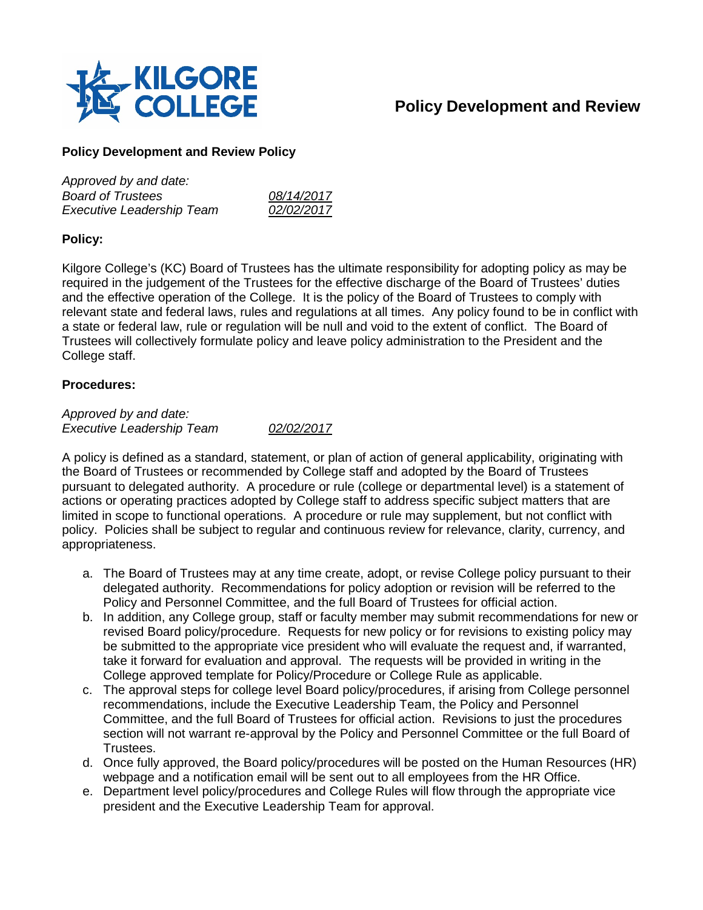

## **Policy Development and Review**

## **Policy Development and Review Policy**

| Approved by and date:            |            |
|----------------------------------|------------|
| <b>Board of Trustees</b>         | 08/14/2017 |
| <b>Executive Leadership Team</b> | 02/02/2017 |

## **Policy:**

Kilgore College's (KC) Board of Trustees has the ultimate responsibility for adopting policy as may be required in the judgement of the Trustees for the effective discharge of the Board of Trustees' duties and the effective operation of the College. It is the policy of the Board of Trustees to comply with relevant state and federal laws, rules and regulations at all times. Any policy found to be in conflict with a state or federal law, rule or regulation will be null and void to the extent of conflict. The Board of Trustees will collectively formulate policy and leave policy administration to the President and the College staff.

## **Procedures:**

*Approved by and date: Executive Leadership Team 02/02/2017*

A policy is defined as a standard, statement, or plan of action of general applicability, originating with the Board of Trustees or recommended by College staff and adopted by the Board of Trustees pursuant to delegated authority. A procedure or rule (college or departmental level) is a statement of actions or operating practices adopted by College staff to address specific subject matters that are limited in scope to functional operations. A procedure or rule may supplement, but not conflict with policy. Policies shall be subject to regular and continuous review for relevance, clarity, currency, and appropriateness.

- a. The Board of Trustees may at any time create, adopt, or revise College policy pursuant to their delegated authority. Recommendations for policy adoption or revision will be referred to the Policy and Personnel Committee, and the full Board of Trustees for official action.
- b. In addition, any College group, staff or faculty member may submit recommendations for new or revised Board policy/procedure. Requests for new policy or for revisions to existing policy may be submitted to the appropriate vice president who will evaluate the request and, if warranted, take it forward for evaluation and approval. The requests will be provided in writing in the College approved template for Policy/Procedure or College Rule as applicable.
- c. The approval steps for college level Board policy/procedures, if arising from College personnel recommendations, include the Executive Leadership Team, the Policy and Personnel Committee, and the full Board of Trustees for official action. Revisions to just the procedures section will not warrant re-approval by the Policy and Personnel Committee or the full Board of Trustees.
- d. Once fully approved, the Board policy/procedures will be posted on the Human Resources (HR) webpage and a notification email will be sent out to all employees from the HR Office.
- e. Department level policy/procedures and College Rules will flow through the appropriate vice president and the Executive Leadership Team for approval.